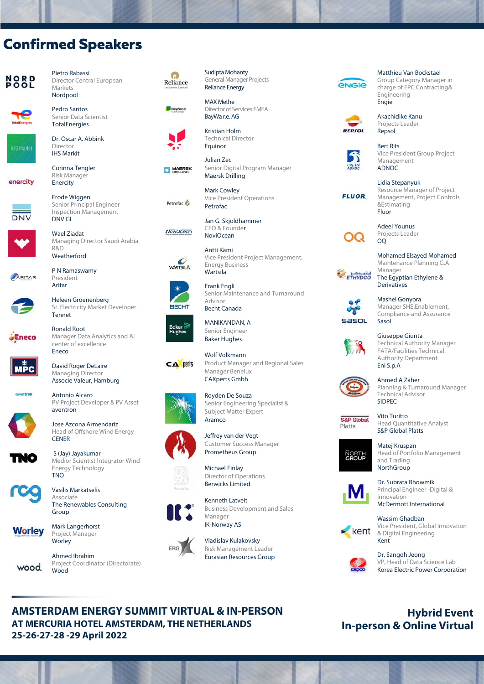# **Confirmed Speakers**

Pietro Rabassi

**Markets** Nordpool Pedro Santos Senior Data Scientist TotalEnergies Dr. Oscar A. Abbink

Director Central European





Director IHS Markit Corinna Tengler

Risk Manager Enercity

Frode Wiggen Senior Principal Engineer

P N Ramaswamy President Aritar

DNV GL

R&D

enercity



ARITAR



Heleen Groenenberg Sr. Electricity Market Developer Tennet

Eneco



David Roger DeLaire Managing Director Associe Valeur, Hamburg

center of excellence

Antonio Alcaro PV Project Developer & PV Asset aventron





Medior Scientist Integrator Wind Energy Technology TNO

Vasilis Markatselis Associate The Renewables Consulting Group



Mark Langerhorst Project Manager Worley

Ahmed Ibrahim Project Coordinator (Directorate) Wood





General Manager Projects Reliance Energy MAX Methe

Sudipta Mohanty



**MAERSK** 

Petrofac C



Kristian Holm Technical Director Equinor

Director of Services EMEA BayWa r.e. AG

Julian Zec Senior Digital Program Manager Maersk Drilling

Vice President Project Management,

Senior Maintenance and Turnaround

Mark Cowley Vice President Operations Petrofac

Jan G. Skjoldhammer CEO & Founder NoviOcean

Energy Business **Wartsila** Frank Engli

MANIKANDAN, A Senior Engineer

Manager Benelux CAXperts Gmbh

Royden De Souza

Antti Kämi

Advisor Becht Canada



**RECHT** 



Baker Hughes Wolf Volkmann CA perts Product Manager and Regional Sales



Aramco

Jeffrey van der Vegt Customer Success Manager Prometheus Group

Senior Engineering Specialist & Subject Matter Expert

Michael Finlay Director of Operations Berwicks Limited







Vladislav Kulakovsky Risk Management Leader Eurasian Resources Group



# **ENGIE**

Matthieu Van Bocks[tael](https://www.leadventgrp.com/)  Group Category Manager in charge of EPC Contracting& Engineering



Akachidike Kanu Projects Leader Repsol

Engie



Bert Rits Vice President Group Project Management **ADNOC** 



Lidia Stepanyuk Resource Manager of Project Management, Project Controls &Estimating Fluor

OQ

Mohamed Elsayed Mohamed Maintenance Planning G.A Manager ETHYDCO The Egyptian Ethylene &

Adeel Younus Projects Leader

**Derivatives** 

OQ



Mashel Gonyora Manager SHE:Enablement, Compliance and Assurance Sasol



Giuseppe Giunta Technical Authority Manager FATA/Facilities Technical Authority Department Eni S.p.A



Ahmed A Zaher Planning & Turnaround Manager Technical Advisor SIDPEC

**S&P** Global Platts

Vito Turitto Head Quantitative Analyst S&P Global Platts



Matej Kruspan Head of Portfolio Management and Trading **NorthGroup** 



Dr. Subrata Bhowmik Principal Engineer -Digital & Innovation McDermott International



Wassim Ghadban Vice President, Global Innovation & Digital Engineering **Kent** 



Dr. Sangoh Jeong VP, Head of Data Science Lab Korea Electric Power Corporation

## **Hybrid Event In-person & Online Virtual**

Inspection Management NoviOcean Wael Ziadat Managing Director Saudi Arabia Weatherford

Ronald Root Manager Data Analytics and AI

Eneco

Head of Offshore Wind Energy S (Jay) Jayakumar



wood.

Kenneth Latveit







Business Development and Sales

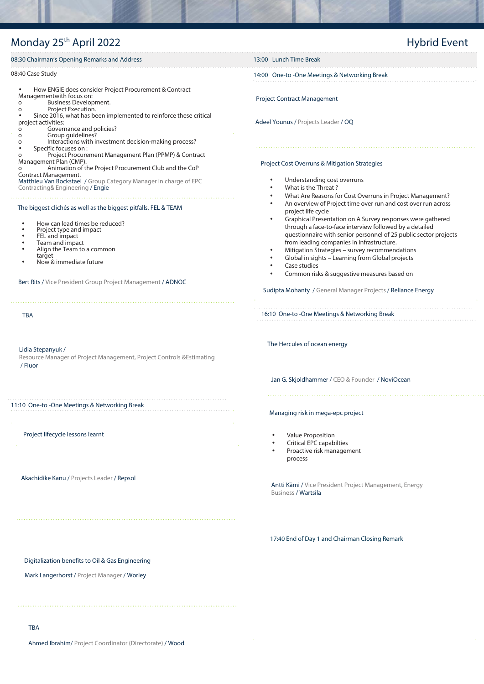# Monday 25<sup>th</sup> April 2022

# Hybrid Event

| 08:30 Chairman's Opening Remarks and Address                                                                                                                                                                                                                                                                                                                                                                | 13:00 Lunch Time Break                                                                                                                                                                                                                                                                                                                                                                                                                                                                                                      |  |  |
|-------------------------------------------------------------------------------------------------------------------------------------------------------------------------------------------------------------------------------------------------------------------------------------------------------------------------------------------------------------------------------------------------------------|-----------------------------------------------------------------------------------------------------------------------------------------------------------------------------------------------------------------------------------------------------------------------------------------------------------------------------------------------------------------------------------------------------------------------------------------------------------------------------------------------------------------------------|--|--|
| 08:40 Case Study                                                                                                                                                                                                                                                                                                                                                                                            | 14:00 One-to -One Meetings & Networking Break                                                                                                                                                                                                                                                                                                                                                                                                                                                                               |  |  |
| How ENGIE does consider Project Procurement & Contract<br>Managementwith focus on:<br><b>Business Development.</b><br>$\circ$<br>Project Execution.<br>$\circ$<br>Since 2016, what has been implemented to reinforce these critical<br>project activities:<br>Governance and policies?<br>$\mathsf{o}\xspace$<br>Group guidelines?<br>$\circ$<br>Interactions with investment decision-making process?<br>o | <b>Project Contract Management</b><br>Adeel Younus / Projects Leader / OQ<br>Project Cost Overruns & Mitigation Strategies                                                                                                                                                                                                                                                                                                                                                                                                  |  |  |
| Specific focuses on:<br>Project Procurement Management Plan (PPMP) & Contract<br>Management Plan (CMP).<br>Animation of the Project Procurement Club and the CoP<br>$\circ$<br>Contract Management.                                                                                                                                                                                                         |                                                                                                                                                                                                                                                                                                                                                                                                                                                                                                                             |  |  |
| Matthieu Van Bockstael / Group Category Manager in charge of EPC<br>Contracting& Engineering / Engie<br>The biggest clichés as well as the biggest pitfalls, FEL & TEAM                                                                                                                                                                                                                                     | Understanding cost overruns<br>What is the Threat?<br>What Are Reasons for Cost Overruns in Project Management?<br>An overview of Project time over run and cost over run across                                                                                                                                                                                                                                                                                                                                            |  |  |
| How can lead times be reduced?<br>Project type and impact<br>FEL and impact<br>Team and impact<br>Align the Team to a common<br>target<br>Now & immediate future<br>Bert Rits / Vice President Group Project Management / ADNOC                                                                                                                                                                             | project life cycle<br>Graphical Presentation on A Survey responses were gathered<br>$\bullet$<br>through a face-to-face interview followed by a detailed<br>questionnaire with senior personnel of 25 public sector projects<br>from leading companies in infrastructure.<br>Mitigation Strategies - survey recommendations<br>$\bullet$<br>Global in sights - Learning from Global projects<br>Case studies<br>Common risks & suggestive measures based on<br>Sudipta Mohanty / General Manager Projects / Reliance Energy |  |  |
| <b>TBA</b>                                                                                                                                                                                                                                                                                                                                                                                                  | 16:10 One-to -One Meetings & Networking Break                                                                                                                                                                                                                                                                                                                                                                                                                                                                               |  |  |
| Lidia Stepanyuk /<br>Resource Manager of Project Management, Project Controls & Estimating<br>/ Fluor                                                                                                                                                                                                                                                                                                       | The Hercules of ocean energy<br>Jan G. Skjoldhammer / CEO & Founder / NoviOcean                                                                                                                                                                                                                                                                                                                                                                                                                                             |  |  |
| 11:10 One-to -One Meetings & Networking Break                                                                                                                                                                                                                                                                                                                                                               | Managing risk in mega-epc project                                                                                                                                                                                                                                                                                                                                                                                                                                                                                           |  |  |
| Project lifecycle lessons learnt                                                                                                                                                                                                                                                                                                                                                                            | <b>Value Proposition</b><br><b>Critical EPC capabilties</b><br>Proactive risk management<br>process                                                                                                                                                                                                                                                                                                                                                                                                                         |  |  |
| Akachidike Kanu / Projects Leader / Repsol                                                                                                                                                                                                                                                                                                                                                                  | Antti Kämi / Vice President Project Management, Energy<br><b>Business / Wartsila</b>                                                                                                                                                                                                                                                                                                                                                                                                                                        |  |  |
|                                                                                                                                                                                                                                                                                                                                                                                                             | 17:40 End of Day 1 and Chairman Closing Remark                                                                                                                                                                                                                                                                                                                                                                                                                                                                              |  |  |
| Digitalization benefits to Oil & Gas Engineering<br>Mark Langerhorst / Project Manager / Worley                                                                                                                                                                                                                                                                                                             |                                                                                                                                                                                                                                                                                                                                                                                                                                                                                                                             |  |  |
|                                                                                                                                                                                                                                                                                                                                                                                                             |                                                                                                                                                                                                                                                                                                                                                                                                                                                                                                                             |  |  |

Ahmed Ibrahim/ Project Coordinator (Directorate) / Wood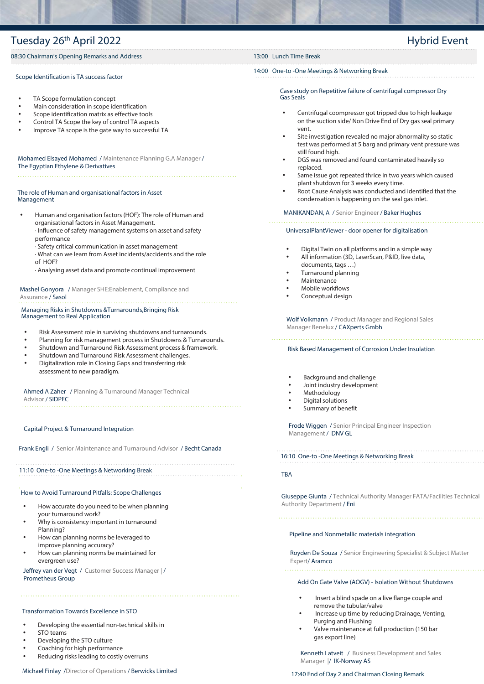### Tuesday 26<sup>th</sup> April 2022 **Hypersenside Event** Event

#### 08:30 Chairman's Opening Remarks and Address 13:00 Lunch Time Break

#### Scope Identification is TA success factor

- TA Scope formulation concept
- Main consideration in scope identification
- Scope identification matrix as effective tools
- Control TA Scope the key of control TA aspects
- Improve TA scope is the gate way to successful TA

Mohamed Elsayed Mohamed / Maintenance Planning G.A Manager / The Egyptian Ethylene & Derivatives

#### The role of Human and organisational factors in Asset Management

- Human and organisation factors (HOF): The role of Human and organisational factors in Asset Management. · Influence of safety management systems on asset and safety performance
	- · Safety critical communication in asset management
	- · What can we learn from Asset incidents/accidents and the role of HOF?
	- · Analysing asset data and promote continual improvement

Mashel Gonyora / Manager SHE:Enablement, Compliance and Assurance / Sasol

### Managing Risks in Shutdowns &Turnarounds,Bringing Risk

### Management to Real Application

- Risk Assessment role in surviving shutdowns and turnarounds.
- Planning for risk management process in Shutdowns & Turnarounds.
- Shutdown and Turnaround Risk Assessment process & framework.
- Shutdown and Turnaround Risk Assessment challenges.
- Digitalization role in Closing Gaps and transferring risk assessment to new paradigm.

Ahmed A Zaher / Planning & Turnaround Manager Technical Advisor / SIDPEC

#### Capital Project & Turnaround Integration

Frank Engli / Senior Maintenance and Turnaround Advisor / Becht Canada

#### 11:10 One-to -One Meetings & Networking Break

#### How to Avoid Turnaround Pitfalls: Scope Challenges

- How accurate do you need to be when planning your turnaround work?
- Why is consistency important in turnaround Planning?
- How can planning norms be leveraged to improve planning accuracy?
- How can planning norms be maintained for evergreen use?

Jeffrey van der Vegt / Customer Success Manager | / Prometheus Group

#### Transformation Towards Excellence in STO

- Developing the essential non-technical skills in
- STO teams
- Developing the STO culture
- Coaching for high performance
- Reducing risks leading to costly overruns

#### 14:00 One-to -One Meetings & Networking Break

Case study on Repetitive failure of centrifugal compressor Dry Gas Seals

- Centrifugal coompressor got tripped due to high leakage on the suction side/ Non Drive End of Dry gas seal primary vent.
- Site investigation revealed no major abnormality so static test was performed at 5 barg and primary vent pressure was still found high.
- DGS was removed and found contaminated heavily so replaced.
- Same issue got repeated thrice in two years which caused plant shutdown for 3 weeks every time.
- Root Cause Analysis was conducted and identified that the condensation is happening on the seal gas inlet.

#### MANIKANDAN, A / Senior Engineer / Baker Hughes

#### 

#### UniversalPlantViewer - door opener for digitalisation

- Digital Twin on all platforms and in a simple way
- All information (3D, LaserScan, P&ID, live data, documents, tags …)
- Turnaround planning
- Maintenance
- Mobile workflows
- Conceptual design

Wolf Volkmann / Product Manager and Regional Sales Manager Benelux / CAXperts Gmbh

#### Risk Based Management of Corrosion Under Insulation

- Background and challenge
- Joint industry development
- Methodology
- Digital solutions
- Summary of benefit

Frode Wiggen / Senior Principal Engineer Inspection Management / DNV GL

#### 16:10 One-to -One Meetings & Networking Break

#### TBA

Giuseppe Giunta / Technical Authority Manager FATA/Facilities Technical Authority Department / Eni

#### Pipeline and Nonmetallic materials integration

Royden De Souza / Senior Engineering Specialist & Subject Matter Expert/ Aramco

#### Add On Gate Valve (AOGV) - Isolation Without Shutdowns

- Insert a blind spade on a live flange couple and remove the tubular/valve
- Increase up time by reducing Drainage, Venting, Purging and Flushing
- Valve maintenance at full production (150 bar gas export line)

Kenneth Latveit / Business Development and Sales Manager |/ IK-Norway AS

#### 17:40 End of Day 2 and Chairman Closing Remark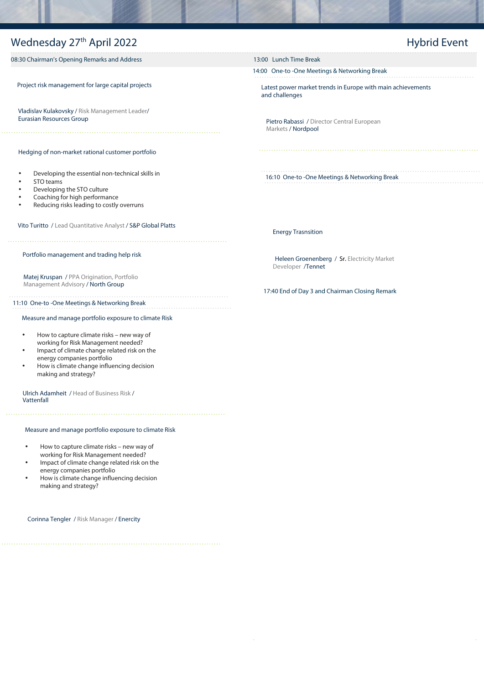### Wednesday 27<sup>th</sup> April 2022

### Hybrid Event

08:30 Chairman's Opening Remarks and Address 13:00 Lunch Time Break

Project risk management for large capital projects

Vladislav Kulakovsky / Risk Management Leader/ Eurasian Resources Group

Hedging of non-market rational customer portfolio

- Developing the essential non-technical skills in
- STO teams
- Developing the STO culture
- Coaching for high performance
- Reducing risks leading to costly overruns

Vito Turitto / Lead Quantitative Analyst / S&P Global Platts

#### Portfolio management and trading help risk

Matej Kruspan / PPA Origination, Portfolio Management Advisory / North Group

#### 11:10 One-to -One Meetings & Networking Break

#### Measure and manage portfolio exposure to climate Risk

- How to capture climate risks new way of working for Risk Management needed?
- Impact of climate change related risk on the energy companies portfolio
- How is climate change influencing decision making and strategy?

Ulrich Adamheit / Head of Business Risk / **Vattenfall** 

#### Measure and manage portfolio exposure to climate Risk

- How to capture climate risks new way of working for Risk Management needed?
- Impact of climate change related risk on the energy companies portfolio
- How is climate change influencing decision making and strategy?

Corinna Tengler / Risk Manager / Enercity

14:00 One-to -One Meetings & Networking Break

Latest power market trends in Europe with main achievements and challenges

Pietro Rabassi / Director Central European Markets / Nordpool

16:10 One-to -One Meetings & Networking Break

Energy Trasnsition

Heleen Groenenberg / Sr. Electricity Market Developer /Tennet

#### 17:40 End of Day 3 and Chairman Closing Remark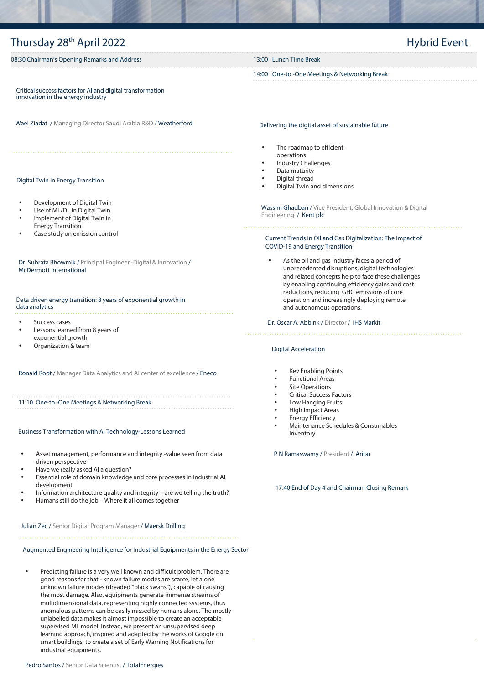### Thursday 28<sup>th</sup> April 2022 08:30 Chairman's Opening Remarks and Address 13:00 Lunch Time Break 14:00 One-to -One Meetings & Networking Break Hybrid Event Critical success factors for AI and digital transformation innovation in the energy industry Wael Ziadat / Managing Director Saudi Arabia R&D / Weatherford Delivering the digital asset of sustainable future The roadmap to efficient operations

#### Digital Twin in Energy Transition

- Development of Digital Twin
- Use of ML/DL in Digital Twin
- Implement of Digital Twin in Energy Transition
- Case study on emission control

Dr. Subrata Bhowmik / Principal Engineer -Digital & Innovation / McDermott International

Data driven energy transition: 8 years of exponential growth in data analytics

- Success cases
- Lessons learned from 8 years of exponential growth
- Organization & team

Ronald Root / Manager Data Analytics and AI center of excellence / Eneco

11:10 One-to -One Meetings & Networking Break

#### Business Transformation with AI Technology-Lessons Learned

- Asset management, performance and integrity -value seen from data driven perspective
- Have we really asked AI a question?
- Essential role of domain knowledge and core processes in industrial AI development
- Information architecture quality and integrity are we telling the truth?
- Humans still do the job Where it all comes together

Julian Zec / Senior Digital Program Manager / Maersk Drilling

Augmented Engineering Intelligence for Industrial Equipments in the Energy Sector

• Predicting failure is a very well known and difficult problem. There are good reasons for that - known failure modes are scarce, let alone unknown failure modes (dreaded "black swans"), capable of causing the most damage. Also, equipments generate immense streams of multidimensional data, representing highly connected systems, thus anomalous patterns can be easily missed by humans alone. The mostly unlabelled data makes it almost impossible to create an acceptable supervised ML model. Instead, we present an unsupervised deep learning approach, inspired and adapted by the works of Google on smart buildings, to create a set of Early Warning Notifications for industrial equipments.

- Industry Challenges
- Data maturity
- Digital thread
- Digital Twin and dimensions

Wassim Ghadban / Vice President, Global Innovation & Digital Engineering / Kent plc

Current Trends in Oil and Gas Digitalization: The Impact of COVID-19 and Energy Transition

As the oil and gas industry faces a period of unprecedented disruptions, digital technologies and related concepts help to face these challenges by enabling continuing efficiency gains and cost reductions, reducing GHG emissions of core operation and increasingly deploying remote and autonomous operations.

Dr. Oscar A. Abbink / Director / IHS Markit

#### Digital Acceleration

- 
- Key Enabling Points
- Functional Areas
- **Site Operations**
- Critical Success Factors
- Low Hanging Fruits
- High Impact Areas
- Energy Efficiency • Maintenance Schedules & Consumables
- Inventory

P N Ramaswamy / President / Aritar

17:40 End of Day 4 and Chairman Closing Remark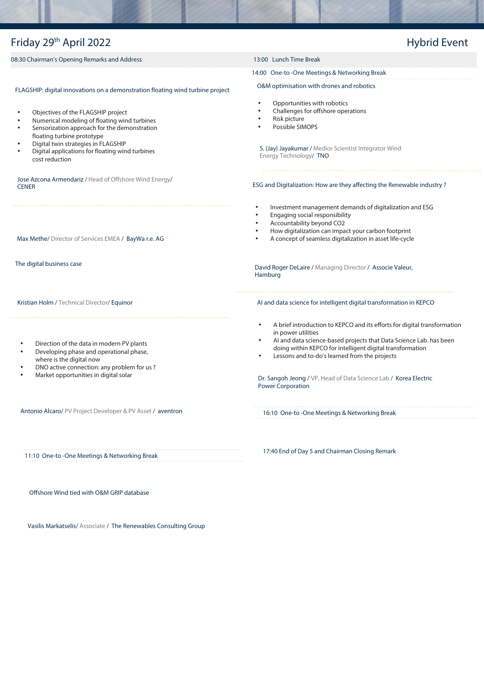### Friday 29th April 2022 08:30 Chairman's Opening Remarks and Address 13:00 Lunch Time Break Hybrid Event Max Methe/ Director of Services EMEA / BayWa r.e. AG The digital business case Kristian Holm / Technical Director/ Equinor • Direction of the data in modern PV plants FLAGSHIP: digital innovations on a demonstration floating wind turbine project • Objectives of the FLAGSHIP project • Numerical modeling of floating wind turbines Sensorization approach for the demonstration floating turbine prototype • Digital twin strategies in FLAGSHIP • Digital applications for floating wind turbines cost reduction Jose Azcona Armendariz / Head of Offshore Wind Energy/ **CENER** O&M optimisation with drones and robotics S. (Jay) Jayakumar / Medior Scientist Integrator Wind Energy Technology/ TNO • Opportunities with robotics • Challenges for offshore operations • Risk picture • Possible SIMOPS ESG and Digitalization: How are they affecting the Renewable industry ? • Investment management demands of digitalization and ESG • Engaging social responsibility • Accountability beyond CO2 • How digitalization can impact your carbon footprint • A concept of seamless digitalization in asset life-cycle David Roger DeLaire / Managing Director / Associe Valeur, Hamburg AI and data science for intelligent digital transformation in KEPCO • A brief introduction to KEPCO and its efforts for digital transformation in power utilities • AI and data science-based projects that Data Science Lab. has been 14:00 One-to -One Meetings & Networking Break

- Developing phase and operational phase,
- where is the digital now • DNO active connection: any problem for us ?
- Market opportunities in digital solar

Antonio Alcaro/ PV Project Developer & PV Asset / aventron

11:10 One-to -One Meetings & Networking Break

Offshore Wind tied with O&M GRIP database

Vasilis Markatselis/ Associate / The Renewables Consulting Group

17:40 End of Day 5 and Chairman Closing Remark

- doing within KEPCO for intelligent digital transformation
- Lessons and to-do's learned from the projects

Dr. Sangoh Jeong / VP, Head of Data Science Lab / Korea Electric Power Corporation

16:10 One-to -One Meetings & Networking Break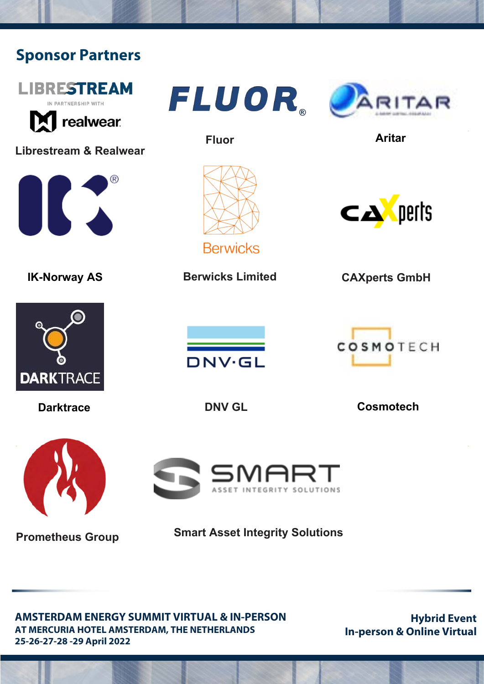# **Sponsor Partners**



**Prometheus Group**

**Smart Asset Integrity Solutions**

**AMSTERDAM ENERGY SUMMIT VIRTUAL & IN-PERSON AT MERCURIA HOTEL AMSTERDAM, THE NETHERLANDS 25-26-27-28 -29 April 2022**

**Hybrid Event In-person & Online Virtual**